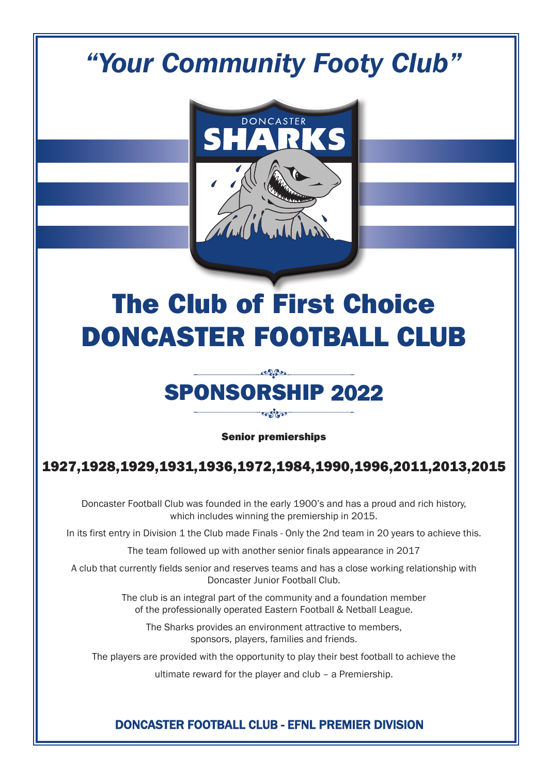## *"Your Community Footy Club"*



# The Club of First Choice DONCASTER FOOTBALL CLUB

### $\mathcal{L}$ SPONSORSHIP 2022 ಀೄೖಁೣೢೢ

Senior premierships

## 1927,1928,1929,1931,1936,1972,1984,1990,1996,2011,2013,2015

Doncaster Football Club was founded in the early 1900's and has a proud and rich history, which includes winning the premiership in 2015.

In its first entry in Division 1 the Club made Finals - Only the 2nd team in 20 years to achieve this.

The team followed up with another senior finals appearance in 2017

A club that currently fields senior and reserves teams and has a close working relationship with Doncaster Junior Football Club.

> The club is an integral part of the community and a foundation member of the professionally operated Eastern Football & Netball League.

The Sharks provides an environment attractive to members, sponsors, players, families and friends.

The players are provided with the opportunity to play their best football to achieve the

ultimate reward for the player and club – a Premiership.

#### DONCASTER FOOTBALL CLUB - EFNL PREMIER DIVISION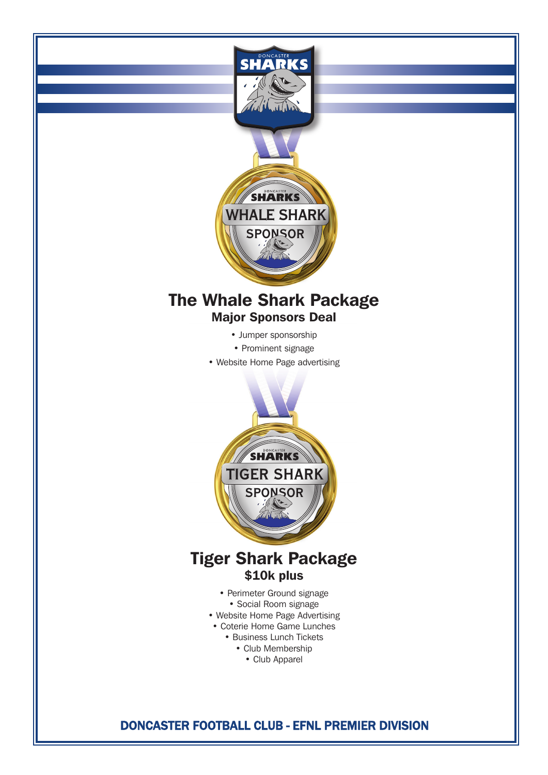

## The Whale Shark Package Major Sponsors Deal

- Jumper sponsorship
- Prominent signage
- Website Home Page advertising



## Tiger Shark Package \$10k plus

- Perimeter Ground signage
- Social Room signage
- Website Home Page Advertising
- Coterie Home Game Lunches
	- Business Lunch Tickets
		- Club Membership
		- Club Apparel

### DONCASTER FOOTBALL CLUB - EFNL PREMIER DIVISION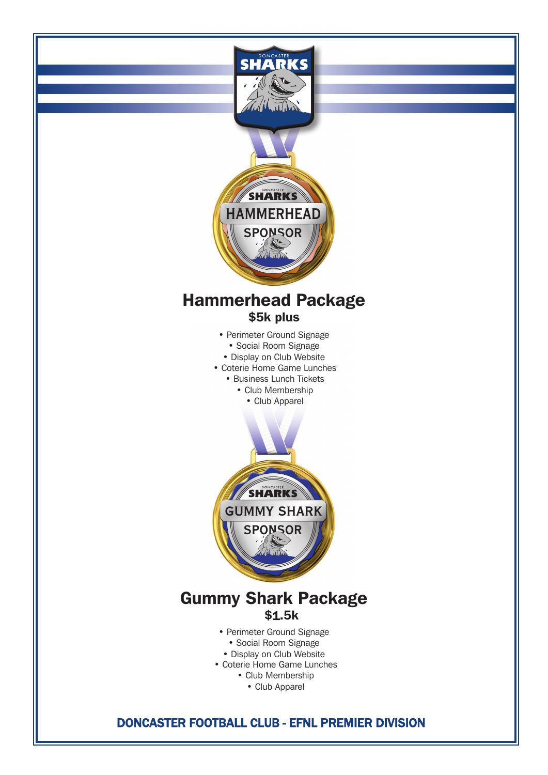